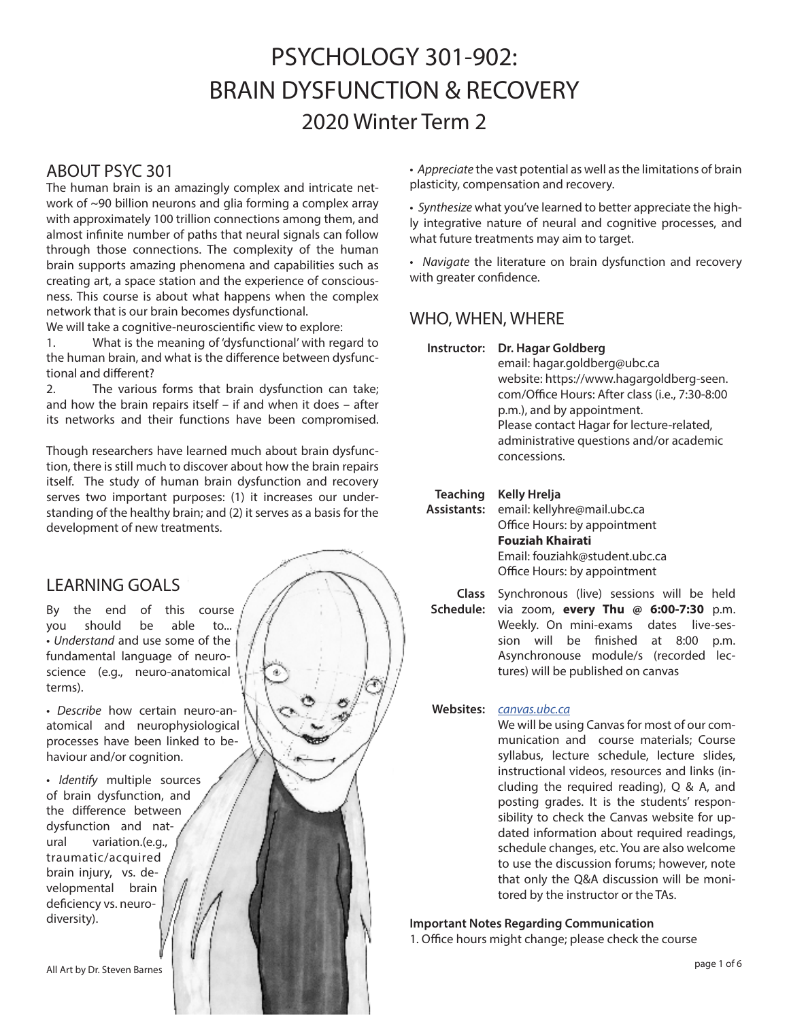# PSYCHOLOGY 301-902: BRAIN DYSFUNCTION & RECOVERY 2020 Winter Term 2

### ABOUT PSYC 301

The human brain is an amazingly complex and intricate network of ~90 billion neurons and glia forming a complex array with approximately 100 trillion connections among them, and almost infinite number of paths that neural signals can follow through those connections. The complexity of the human brain supports amazing phenomena and capabilities such as creating art, a space station and the experience of consciousness. This course is about what happens when the complex network that is our brain becomes dysfunctional.

We will take a cognitive-neuroscientific view to explore:

1. What is the meaning of 'dysfunctional' with regard to the human brain, and what is the difference between dysfunctional and different?

2. The various forms that brain dysfunction can take; and how the brain repairs itself – if and when it does – after its networks and their functions have been compromised.

Though researchers have learned much about brain dysfunction, there is still much to discover about how the brain repairs itself. The study of human brain dysfunction and recovery serves two important purposes: (1) it increases our understanding of the healthy brain; and (2) it serves as a basis for the development of new treatments.

### LEARNING GOALS

By the end of this course you should be able to... • *Understand* and use some of the fundamental language of neuroscience (e.g., neuro-anatomical terms).

• *Describe* how certain neuro-anatomical and neurophysiological processes have been linked to behaviour and/or cognition.

• *Identify* multiple sources of brain dysfunction, and the difference between dysfunction and natural variation.(e.g., traumatic/acquired brain injury, vs. developmental brain deficiency vs. neurodiversity).

• *Appreciate* the vast potential as well as the limitations of brain plasticity, compensation and recovery.

• *Synthesize* what you've learned to better appreciate the highly integrative nature of neural and cognitive processes, and what future treatments may aim to target.

• *Navigate* the literature on brain dysfunction and recovery with greater confidence.

### WHO, WHEN, WHERE

**Instructor: Dr. Hagar Goldberg**

email: hagar.goldberg@ubc.ca website: https://www.hagargoldberg-seen. com/Office Hours: After class (i.e., 7:30-8:00 p.m.), and by appointment. Please contact Hagar for lecture-related, administrative questions and/or academic concessions.

#### **Teaching Kelly Hrelja**

**Assistants:** email: kellyhre@mail.ubc.ca Office Hours: by appointment **Fouziah Khairati** Email: fouziahk@student.ubc.ca Office Hours: by appointment

**Class Schedule:** via zoom, **every Thu @ 6:00-7:30** p.m. Synchronous (live) sessions will be held Weekly. On mini-exams dates live-session will be finished at 8:00 p.m. Asynchronouse module/s (recorded lectures) will be published on canvas

### **Websites:** *canvas.ubc.ca*

We will be using Canvas for most of our communication and course materials; Course syllabus, lecture schedule, lecture slides, instructional videos, resources and links (including the required reading), Q & A, and posting grades. It is the students' responsibility to check the Canvas website for updated information about required readings, schedule changes, etc. You are also welcome to use the discussion forums; however, note that only the Q&A discussion will be monitored by the instructor or the TAs.

### **Important Notes Regarding Communication**

1. Office hours might change; please check the course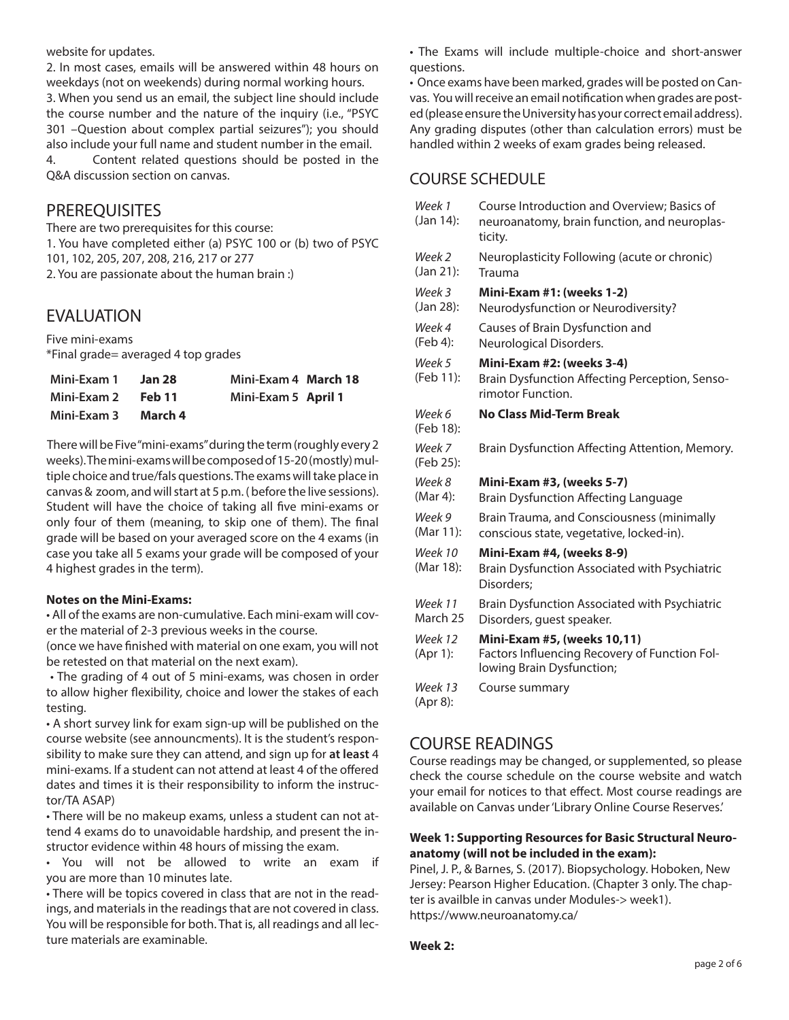website for updates.

2. In most cases, emails will be answered within 48 hours on weekdays (not on weekends) during normal working hours. 3. When you send us an email, the subject line should include the course number and the nature of the inquiry (i.e., "PSYC 301 –Question about complex partial seizures"); you should also include your full name and student number in the email. 4. Content related questions should be posted in the Q&A discussion section on canvas.

### **PREREQUISITES**

There are two prerequisites for this course: 1. You have completed either (a) PSYC 100 or (b) two of PSYC 101, 102, 205, 207, 208, 216, 217 or 277 2. You are passionate about the human brain :)

## EVALUATION

Five mini-exams \*Final grade= averaged 4 top grades

| Mini-Exam 1 | Jan 28  | Mini-Exam 4 March 18 |  |
|-------------|---------|----------------------|--|
| Mini-Exam 2 | Feb 11  | Mini-Exam 5 April 1  |  |
| Mini-Exam 3 | March 4 |                      |  |

There will be Five "mini-exams" during the term (roughly every 2 weeks). The mini-exams will be composed of 15-20 (mostly) multiple choice and true/fals questions. The exams will take place in canvas & zoom, and will start at 5 p.m. ( before the live sessions). Student will have the choice of taking all five mini-exams or only four of them (meaning, to skip one of them). The final grade will be based on your averaged score on the 4 exams (in case you take all 5 exams your grade will be composed of your 4 highest grades in the term).

### **Notes on the Mini-Exams:**

• All of the exams are non-cumulative. Each mini-exam will cover the material of 2-3 previous weeks in the course.

(once we have finished with material on one exam, you will not be retested on that material on the next exam).

 • The grading of 4 out of 5 mini-exams, was chosen in order to allow higher flexibility, choice and lower the stakes of each testing.

• A short survey link for exam sign-up will be published on the course website (see announcments). It is the student's responsibility to make sure they can attend, and sign up for **at least** 4 mini-exams. If a student can not attend at least 4 of the offered dates and times it is their responsibility to inform the instructor/TA ASAP)

• There will be no makeup exams, unless a student can not attend 4 exams do to unavoidable hardship, and present the instructor evidence within 48 hours of missing the exam.

• You will not be allowed to write an exam if you are more than 10 minutes late.

• There will be topics covered in class that are not in the readings, and materials in the readings that are not covered in class. You will be responsible for both. That is, all readings and all lecture materials are examinable.

• The Exams will include multiple-choice and short-answer questions.

• Once exams have been marked, grades will be posted on Canvas. You will receive an email notification when grades are posted (please ensure the University has your correct email address). Any grading disputes (other than calculation errors) must be handled within 2 weeks of exam grades being released.

### COURSE SCHEDULE

| Week 1<br>(Jan 14):  | Course Introduction and Overview; Basics of<br>neuroanatomy, brain function, and neuroplas-<br>ticity.    |
|----------------------|-----------------------------------------------------------------------------------------------------------|
| Week 2<br>(Jan 21):  | Neuroplasticity Following (acute or chronic)<br>Trauma                                                    |
| Week 3<br>(Jan 28):  | <b>Mini-Exam #1: (weeks 1-2)</b><br>Neurodysfunction or Neurodiversity?                                   |
| Week 4<br>(Feb 4):   | Causes of Brain Dysfunction and<br>Neurological Disorders.                                                |
| Week 5<br>(Feb 11):  | Mini-Exam #2: (weeks 3-4)<br>Brain Dysfunction Affecting Perception, Senso-<br>rimotor Function.          |
| Week 6<br>(Feb 18):  | <b>No Class Mid-Term Break</b>                                                                            |
| Week 7<br>(Feb 25):  | Brain Dysfunction Affecting Attention, Memory.                                                            |
| Week 8<br>(Mar 4):   | <b>Mini-Exam #3, (weeks 5-7)</b><br><b>Brain Dysfunction Affecting Language</b>                           |
| Week 9<br>(Mar 11):  | Brain Trauma, and Consciousness (minimally<br>conscious state, vegetative, locked-in).                    |
| Week 10<br>(Mar 18): | Mini-Exam #4, (weeks 8-9)<br>Brain Dysfunction Associated with Psychiatric<br>Disorders;                  |
| Week 11<br>March 25  | Brain Dysfunction Associated with Psychiatric<br>Disorders, quest speaker.                                |
| Week 12<br>(Apr 1):  | Mini-Exam #5, (weeks 10,11)<br>Factors Influencing Recovery of Function Fol-<br>lowing Brain Dysfunction; |
| Week 13<br>(Apr 8):  | Course summary                                                                                            |

## COURSE READINGS

Course readings may be changed, or supplemented, so please check the course schedule on the course website and watch your email for notices to that effect. Most course readings are available on Canvas under 'Library Online Course Reserves.'

### **Week 1: Supporting Resources for Basic Structural Neuroanatomy (will not be included in the exam):**

Pinel, J. P., & Barnes, S. (2017). Biopsychology. Hoboken, New Jersey: Pearson Higher Education. (Chapter 3 only. The chapter is availble in canvas under Modules-> week1). https://www.neuroanatomy.ca/

**Week 2:**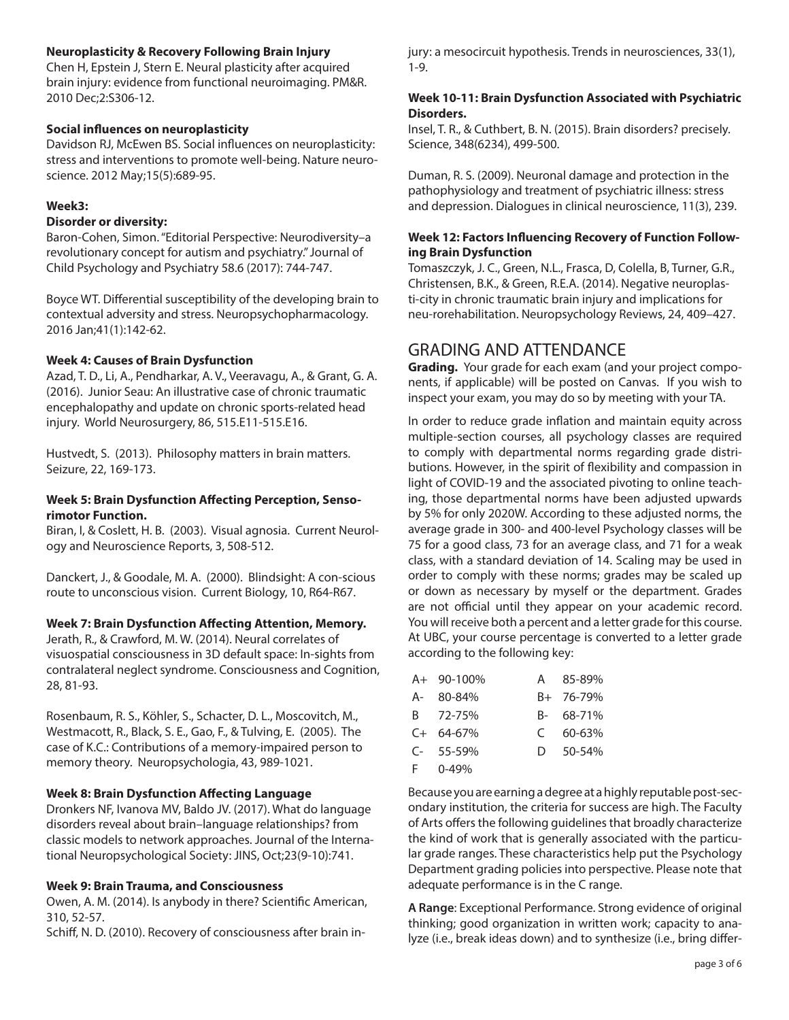### **Neuroplasticity & Recovery Following Brain Injury**

Chen H, Epstein J, Stern E. Neural plasticity after acquired brain injury: evidence from functional neuroimaging. PM&R. 2010 Dec;2:S306-12.

### **Social influences on neuroplasticity**

Davidson RJ, McEwen BS. Social influences on neuroplasticity: stress and interventions to promote well-being. Nature neuroscience. 2012 May;15(5):689-95.

#### **Week3:**

#### **Disorder or diversity:**

Baron‐Cohen, Simon. "Editorial Perspective: Neurodiversity–a revolutionary concept for autism and psychiatry." Journal of Child Psychology and Psychiatry 58.6 (2017): 744-747.

Boyce WT. Differential susceptibility of the developing brain to contextual adversity and stress. Neuropsychopharmacology. 2016 Jan;41(1):142-62.

### **Week 4: Causes of Brain Dysfunction**

Azad, T. D., Li, A., Pendharkar, A. V., Veeravagu, A., & Grant, G. A. (2016). Junior Seau: An illustrative case of chronic traumatic encephalopathy and update on chronic sports-related head injury. World Neurosurgery, 86, 515.E11-515.E16.

Hustvedt, S. (2013). Philosophy matters in brain matters. Seizure, 22, 169-173.

### **Week 5: Brain Dysfunction Affecting Perception, Sensorimotor Function.**

Biran, I, & Coslett, H. B. (2003). Visual agnosia. Current Neurology and Neuroscience Reports, 3, 508-512.

Danckert, J., & Goodale, M. A. (2000). Blindsight: A con-scious route to unconscious vision. Current Biology, 10, R64-R67.

### **Week 7: Brain Dysfunction Affecting Attention, Memory.**

Jerath, R., & Crawford, M. W. (2014). Neural correlates of visuospatial consciousness in 3D default space: In-sights from contralateral neglect syndrome. Consciousness and Cognition, 28, 81-93.

Rosenbaum, R. S., Köhler, S., Schacter, D. L., Moscovitch, M., Westmacott, R., Black, S. E., Gao, F., & Tulving, E. (2005). The case of K.C.: Contributions of a memory-impaired person to memory theory. Neuropsychologia, 43, 989-1021.

### **Week 8: Brain Dysfunction Affecting Language**

Dronkers NF, Ivanova MV, Baldo JV. (2017). What do language disorders reveal about brain–language relationships? from classic models to network approaches. Journal of the International Neuropsychological Society: JINS, Oct;23(9-10):741.

#### **Week 9: Brain Trauma, and Consciousness**

Owen, A. M. (2014). Is anybody in there? Scientific American, 310, 52-57.

Schiff, N. D. (2010). Recovery of consciousness after brain in-

jury: a mesocircuit hypothesis. Trends in neurosciences, 33(1), 1-9.

### **Week 10-11: Brain Dysfunction Associated with Psychiatric Disorders.**

Insel, T. R., & Cuthbert, B. N. (2015). Brain disorders? precisely. Science, 348(6234), 499-500.

Duman, R. S. (2009). Neuronal damage and protection in the pathophysiology and treatment of psychiatric illness: stress and depression. Dialogues in clinical neuroscience, 11(3), 239.

### **Week 12: Factors Influencing Recovery of Function Following Brain Dysfunction**

Tomaszczyk, J. C., Green, N.L., Frasca, D, Colella, B, Turner, G.R., Christensen, B.K., & Green, R.E.A. (2014). Negative neuroplasti-city in chronic traumatic brain injury and implications for neu-rorehabilitation. Neuropsychology Reviews, 24, 409–427.

### GRADING AND ATTENDANCE

**Grading.** Your grade for each exam (and your project components, if applicable) will be posted on Canvas. If you wish to inspect your exam, you may do so by meeting with your TA.

In order to reduce grade inflation and maintain equity across multiple-section courses, all psychology classes are required to comply with departmental norms regarding grade distributions. However, in the spirit of flexibility and compassion in light of COVID-19 and the associated pivoting to online teaching, those departmental norms have been adjusted upwards by 5% for only 2020W. According to these adjusted norms, the average grade in 300- and 400-level Psychology classes will be 75 for a good class, 73 for an average class, and 71 for a weak class, with a standard deviation of 14. Scaling may be used in order to comply with these norms; grades may be scaled up or down as necessary by myself or the department. Grades are not official until they appear on your academic record. You will receive both a percent and a letter grade for this course. At UBC, your course percentage is converted to a letter grade according to the following key:

| A+ 90-100%  | A 85-89%   |
|-------------|------------|
| A- 80-84%   | B+ 76-79%  |
| B 72-75%    | B- 68-71%  |
| $C+ 64-67%$ | $C$ 60-63% |
| $C-55-59%$  | D 50-54%   |
|             |            |

F 0-49%

Because you are earning a degree at a highly reputable post-secondary institution, the criteria for success are high. The Faculty of Arts offers the following guidelines that broadly characterize the kind of work that is generally associated with the particular grade ranges. These characteristics help put the Psychology Department grading policies into perspective. Please note that adequate performance is in the C range.

**A Range**: Exceptional Performance. Strong evidence of original thinking; good organization in written work; capacity to analyze (i.e., break ideas down) and to synthesize (i.e., bring differ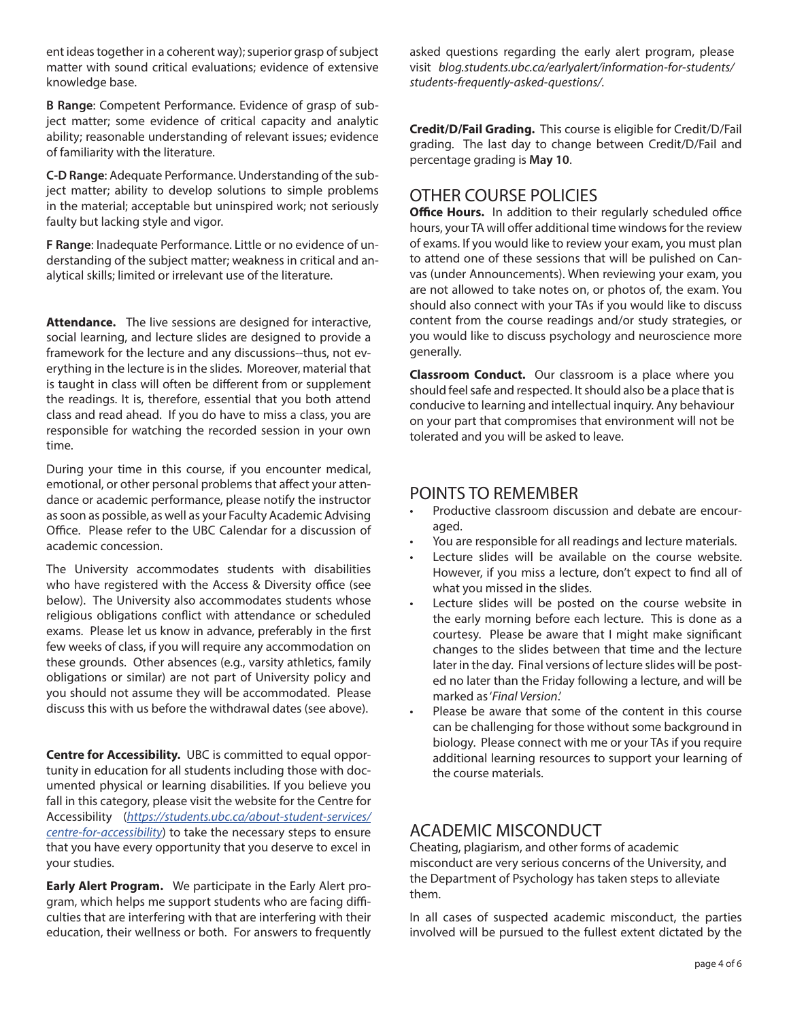ent ideas together in a coherent way); superior grasp of subject matter with sound critical evaluations; evidence of extensive knowledge base.

**B Range**: Competent Performance. Evidence of grasp of subject matter; some evidence of critical capacity and analytic ability; reasonable understanding of relevant issues; evidence of familiarity with the literature.

**C-D Range**: Adequate Performance. Understanding of the subject matter; ability to develop solutions to simple problems in the material; acceptable but uninspired work; not seriously faulty but lacking style and vigor.

**F Range**: Inadequate Performance. Little or no evidence of understanding of the subject matter; weakness in critical and analytical skills; limited or irrelevant use of the literature.

**Attendance.** The live sessions are designed for interactive, social learning, and lecture slides are designed to provide a framework for the lecture and any discussions--thus, not everything in the lecture is in the slides. Moreover, material that is taught in class will often be different from or supplement the readings. It is, therefore, essential that you both attend class and read ahead. If you do have to miss a class, you are responsible for watching the recorded session in your own time.

During your time in this course, if you encounter medical, emotional, or other personal problems that affect your attendance or academic performance, please notify the instructor as soon as possible, as well as your Faculty Academic Advising Office. Please refer to the UBC Calendar for a discussion of academic concession.

The University accommodates students with disabilities who have registered with the Access & Diversity office (see below). The University also accommodates students whose religious obligations conflict with attendance or scheduled exams. Please let us know in advance, preferably in the first few weeks of class, if you will require any accommodation on these grounds. Other absences (e.g., varsity athletics, family obligations or similar) are not part of University policy and you should not assume they will be accommodated. Please discuss this with us before the withdrawal dates (see above).

**Centre for Accessibility.** UBC is committed to equal opportunity in education for all students including those with documented physical or learning disabilities. If you believe you fall in this category, please visit the website for the Centre for Accessibility (*https://students.ubc.ca/about-student-services/ centre-for-accessibility*) to take the necessary steps to ensure that you have every opportunity that you deserve to excel in your studies.

**Early Alert Program.** We participate in the Early Alert program, which helps me support students who are facing difficulties that are interfering with that are interfering with their education, their wellness or both. For answers to frequently asked questions regarding the early alert program, please visit *blog.students.ubc.ca/earlyalert/information-for-students/ students-frequently-asked-questions/.*

**Credit/D/Fail Grading.** This course is eligible for Credit/D/Fail grading. The last day to change between Credit/D/Fail and percentage grading is **May 10**.

### OTHER COURSE POLICIES

**Office Hours.** In addition to their regularly scheduled office hours, your TA will offer additional time windows for the review of exams. If you would like to review your exam, you must plan to attend one of these sessions that will be pulished on Canvas (under Announcements). When reviewing your exam, you are not allowed to take notes on, or photos of, the exam. You should also connect with your TAs if you would like to discuss content from the course readings and/or study strategies, or you would like to discuss psychology and neuroscience more generally.

**Classroom Conduct.** Our classroom is a place where you should feel safe and respected. It should also be a place that is conducive to learning and intellectual inquiry. Any behaviour on your part that compromises that environment will not be tolerated and you will be asked to leave.

### POINTS TO REMEMBER

- Productive classroom discussion and debate are encouraged.
- You are responsible for all readings and lecture materials.
- Lecture slides will be available on the course website. However, if you miss a lecture, don't expect to find all of what you missed in the slides.
- Lecture slides will be posted on the course website in the early morning before each lecture. This is done as a courtesy. Please be aware that I might make significant changes to the slides between that time and the lecture later in the day. Final versions of lecture slides will be posted no later than the Friday following a lecture, and will be marked as '*Final Version*.'
- Please be aware that some of the content in this course can be challenging for those without some background in biology. Please connect with me or your TAs if you require additional learning resources to support your learning of the course materials.

### ACADEMIC MISCONDUCT

Cheating, plagiarism, and other forms of academic misconduct are very serious concerns of the University, and the Department of Psychology has taken steps to alleviate them.

In all cases of suspected academic misconduct, the parties involved will be pursued to the fullest extent dictated by the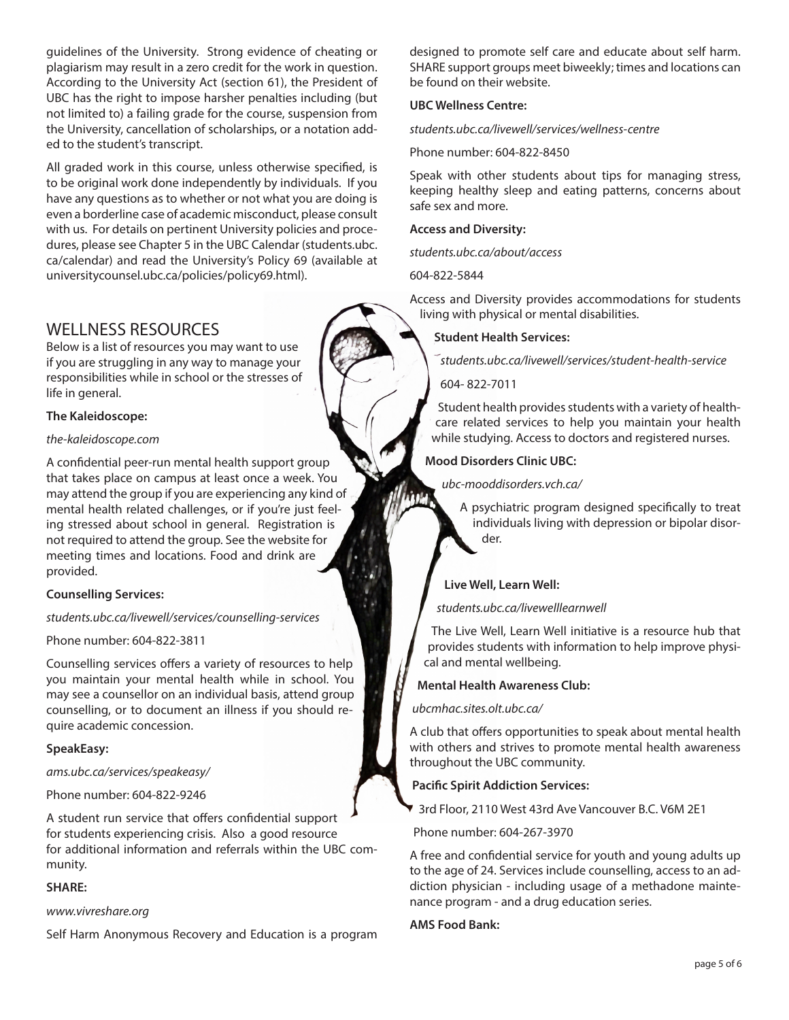guidelines of the University. Strong evidence of cheating or plagiarism may result in a zero credit for the work in question. According to the University Act (section 61), the President of UBC has the right to impose harsher penalties including (but not limited to) a failing grade for the course, suspension from the University, cancellation of scholarships, or a notation added to the student's transcript.

All graded work in this course, unless otherwise specified, is to be original work done independently by individuals. If you have any questions as to whether or not what you are doing is even a borderline case of academic misconduct, please consult with us. For details on pertinent University policies and procedures, please see Chapter 5 in the UBC Calendar (students.ubc. ca/calendar) and read the University's Policy 69 (available at universitycounsel.ubc.ca/policies/policy69.html).

## WELLNESS RESOURCES

Below is a list of resources you may want to use if you are struggling in any way to manage your responsibilities while in school or the stresses of life in general.

### **The Kaleidoscope:**

#### *the-kaleidoscope.com*

A confidential peer-run mental health support group that takes place on campus at least once a week. You may attend the group if you are experiencing any kind of mental health related challenges, or if you're just feeling stressed about school in general. Registration is not required to attend the group. See the website for meeting times and locations. Food and drink are provided.

### **Counselling Services:**

### *students.ubc.ca/livewell/services/counselling-services*

Phone number: 604-822-3811

Counselling services offers a variety of resources to help you maintain your mental health while in school. You may see a counsellor on an individual basis, attend group counselling, or to document an illness if you should require academic concession.

### **SpeakEasy:**

*ams.ubc.ca/services/speakeasy/*

Phone number: 604-822-9246

A student run service that offers confidential support for students experiencing crisis. Also a good resource for additional information and referrals within the UBC community.

### **SHARE:**

### *www.vivreshare.org*

Self Harm Anonymous Recovery and Education is a program

designed to promote self care and educate about self harm. SHARE support groups meet biweekly; times and locations can be found on their website.

### **UBC Wellness Centre:**

*students.ubc.ca/livewell/services/wellness-centre*

Phone number: 604-822-8450

Speak with other students about tips for managing stress, keeping healthy sleep and eating patterns, concerns about safe sex and more.

#### **Access and Diversity:**

*students.ubc.ca/about/access*

604-822-5844

Access and Diversity provides accommodations for students living with physical or mental disabilities.

### **Student Health Services:**

*students.ubc.ca/livewell/services/student-health-service*

604- 822-7011

Student health provides students with a variety of healthcare related services to help you maintain your health while studying. Access to doctors and registered nurses.

### **Mood Disorders Clinic UBC:**

*ubc-mooddisorders.vch.ca/*

A psychiatric program designed specifically to treat individuals living with depression or bipolar disorder.

### **Live Well, Learn Well:**

### *students.ubc.ca/livewelllearnwell*

The Live Well, Learn Well initiative is a resource hub that provides students with information to help improve physical and mental wellbeing.

### **Mental Health Awareness Club:**

*ubcmhac.sites.olt.ubc.ca/*

A club that offers opportunities to speak about mental health with others and strives to promote mental health awareness throughout the UBC community.

### **Pacific Spirit Addiction Services:**

3rd Floor, 2110 West 43rd Ave Vancouver B.C. V6M 2E1

Phone number: 604-267-3970

A free and confidential service for youth and young adults up to the age of 24. Services include counselling, access to an addiction physician - including usage of a methadone maintenance program - and a drug education series.

### **AMS Food Bank:**